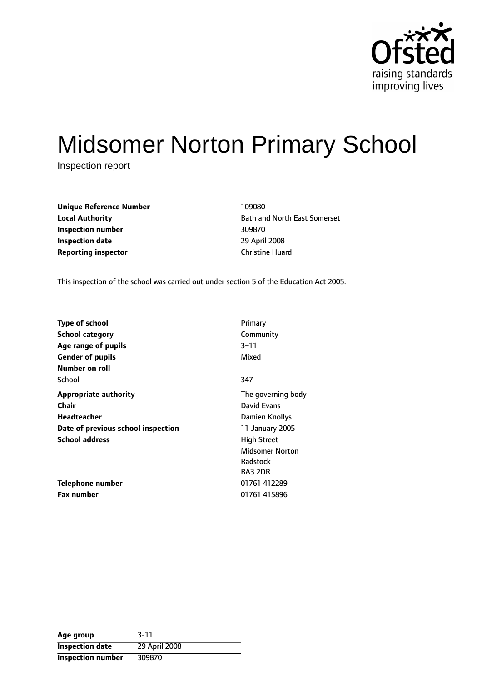

# Midsomer Norton Primary School

Inspection report

| <b>Unique Reference Number</b> | 109080                 |
|--------------------------------|------------------------|
| <b>Local Authority</b>         | <b>Bath and North</b>  |
| Inspection number              | 309870                 |
| <b>Inspection date</b>         | 29 April 2008          |
| <b>Reporting inspector</b>     | <b>Christine Huard</b> |

**Bath and North East Somerset Inspection number** 309870 **Inspection date** 29 April 2008

This inspection of the school was carried out under section 5 of the Education Act 2005.

| <b>Type of school</b>              | Primary                |
|------------------------------------|------------------------|
| <b>School category</b>             | Community              |
| Age range of pupils                | 3–11                   |
| <b>Gender of pupils</b>            | Mixed                  |
| Number on roll                     |                        |
| School                             | 347                    |
| <b>Appropriate authority</b>       | The governing body     |
| Chair                              | David Evans            |
| Headteacher                        | Damien Knollys         |
| Date of previous school inspection | 11 January 2005        |
| <b>School address</b>              | <b>High Street</b>     |
|                                    | <b>Midsomer Norton</b> |
|                                    | Radstock               |
|                                    | <b>BA3 2DR</b>         |
| Telephone number                   | 01761 412289           |
| <b>Fax number</b>                  | 01761 415896           |

| Age group              | $3 - 11$      |
|------------------------|---------------|
| <b>Inspection date</b> | 29 April 2008 |
| Inspection number      | 309870        |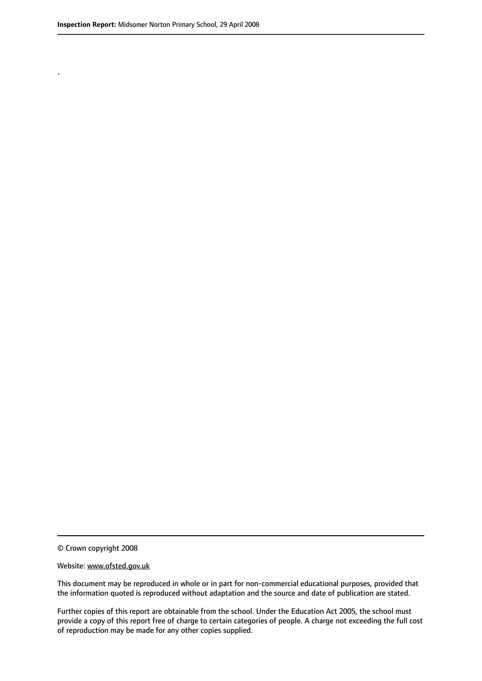.

© Crown copyright 2008

#### Website: www.ofsted.gov.uk

This document may be reproduced in whole or in part for non-commercial educational purposes, provided that the information quoted is reproduced without adaptation and the source and date of publication are stated.

Further copies of this report are obtainable from the school. Under the Education Act 2005, the school must provide a copy of this report free of charge to certain categories of people. A charge not exceeding the full cost of reproduction may be made for any other copies supplied.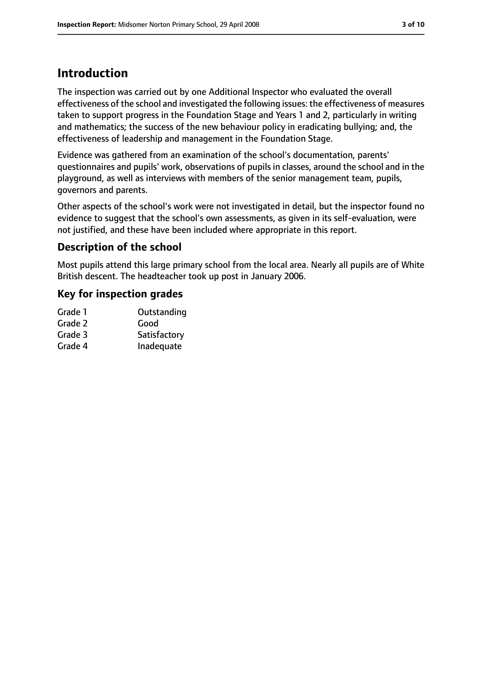## **Introduction**

The inspection was carried out by one Additional Inspector who evaluated the overall effectiveness of the school and investigated the following issues: the effectiveness of measures taken to support progress in the Foundation Stage and Years 1 and 2, particularly in writing and mathematics; the success of the new behaviour policy in eradicating bullying; and, the effectiveness of leadership and management in the Foundation Stage.

Evidence was gathered from an examination of the school's documentation, parents' questionnaires and pupils' work, observations of pupils in classes, around the school and in the playground, as well as interviews with members of the senior management team, pupils, governors and parents.

Other aspects of the school's work were not investigated in detail, but the inspector found no evidence to suggest that the school's own assessments, as given in its self-evaluation, were not justified, and these have been included where appropriate in this report.

## **Description of the school**

Most pupils attend this large primary school from the local area. Nearly all pupils are of White British descent. The headteacher took up post in January 2006.

## **Key for inspection grades**

| Grade 1 | Outstanding  |
|---------|--------------|
| Grade 2 | Good         |
| Grade 3 | Satisfactory |
| Grade 4 | Inadequate   |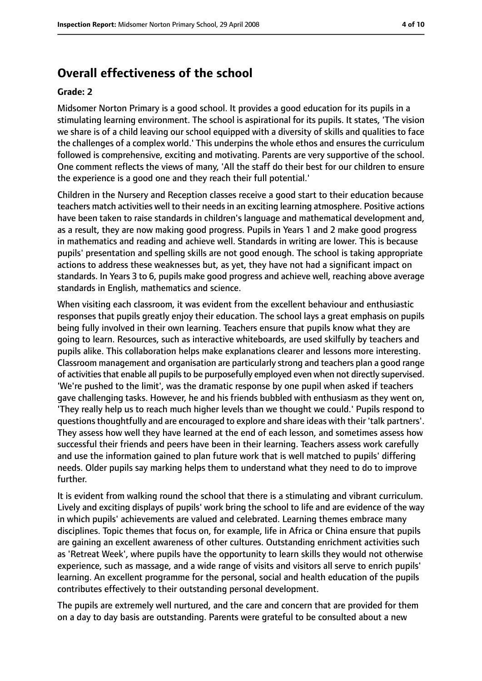## **Overall effectiveness of the school**

#### **Grade: 2**

Midsomer Norton Primary is a good school. It provides a good education for its pupils in a stimulating learning environment. The school is aspirational for its pupils. It states, 'The vision we share is of a child leaving our school equipped with a diversity of skills and qualities to face the challenges of a complex world.' This underpins the whole ethos and ensures the curriculum followed is comprehensive, exciting and motivating. Parents are very supportive of the school. One comment reflects the views of many, 'All the staff do their best for our children to ensure the experience is a good one and they reach their full potential.'

Children in the Nursery and Reception classes receive a good start to their education because teachers match activities well to their needs in an exciting learning atmosphere. Positive actions have been taken to raise standards in children's language and mathematical development and, as a result, they are now making good progress. Pupils in Years 1 and 2 make good progress in mathematics and reading and achieve well. Standards in writing are lower. This is because pupils' presentation and spelling skills are not good enough. The school is taking appropriate actions to address these weaknesses but, as yet, they have not had a significant impact on standards. In Years 3 to 6, pupils make good progress and achieve well, reaching above average standards in English, mathematics and science.

When visiting each classroom, it was evident from the excellent behaviour and enthusiastic responses that pupils greatly enjoy their education. The school lays a great emphasis on pupils being fully involved in their own learning. Teachers ensure that pupils know what they are going to learn. Resources, such as interactive whiteboards, are used skilfully by teachers and pupils alike. This collaboration helps make explanations clearer and lessons more interesting. Classroom management and organisation are particularly strong and teachers plan a good range of activities that enable all pupils to be purposefully employed even when not directly supervised. 'We're pushed to the limit', was the dramatic response by one pupil when asked if teachers gave challenging tasks. However, he and his friends bubbled with enthusiasm as they went on, 'They really help us to reach much higher levels than we thought we could.' Pupils respond to questions thoughtfully and are encouraged to explore and share ideas with their 'talk partners'. They assess how well they have learned at the end of each lesson, and sometimes assess how successful their friends and peers have been in their learning. Teachers assess work carefully and use the information gained to plan future work that is well matched to pupils' differing needs. Older pupils say marking helps them to understand what they need to do to improve further.

It is evident from walking round the school that there is a stimulating and vibrant curriculum. Lively and exciting displays of pupils' work bring the school to life and are evidence of the way in which pupils' achievements are valued and celebrated. Learning themes embrace many disciplines. Topic themes that focus on, for example, life in Africa or China ensure that pupils are gaining an excellent awareness of other cultures. Outstanding enrichment activities such as 'Retreat Week', where pupils have the opportunity to learn skills they would not otherwise experience, such as massage, and a wide range of visits and visitors all serve to enrich pupils' learning. An excellent programme for the personal, social and health education of the pupils contributes effectively to their outstanding personal development.

The pupils are extremely well nurtured, and the care and concern that are provided for them on a day to day basis are outstanding. Parents were grateful to be consulted about a new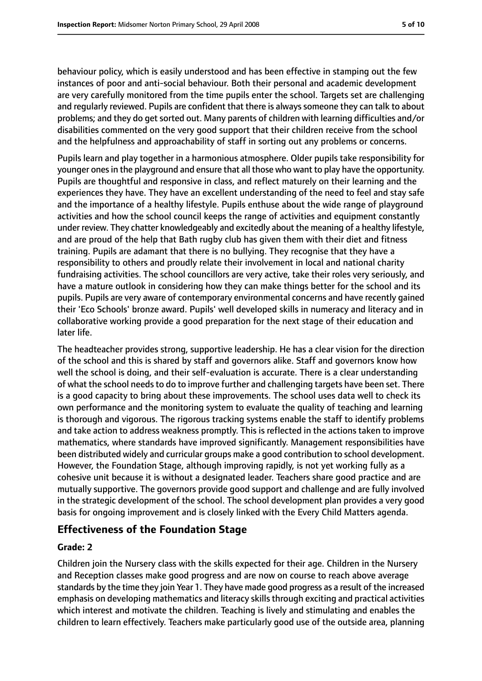behaviour policy, which is easily understood and has been effective in stamping out the few instances of poor and anti-social behaviour. Both their personal and academic development are very carefully monitored from the time pupils enter the school. Targets set are challenging and regularly reviewed. Pupils are confident that there is always someone they can talk to about problems; and they do getsorted out. Many parents of children with learning difficulties and/or disabilities commented on the very good support that their children receive from the school and the helpfulness and approachability of staff in sorting out any problems or concerns.

Pupils learn and play together in a harmonious atmosphere. Older pupils take responsibility for younger onesin the playground and ensure that all those who want to play have the opportunity. Pupils are thoughtful and responsive in class, and reflect maturely on their learning and the experiences they have. They have an excellent understanding of the need to feel and stay safe and the importance of a healthy lifestyle. Pupils enthuse about the wide range of playground activities and how the school council keeps the range of activities and equipment constantly under review. They chatter knowledgeably and excitedly about the meaning of a healthy lifestyle, and are proud of the help that Bath rugby club has given them with their diet and fitness training. Pupils are adamant that there is no bullying. They recognise that they have a responsibility to others and proudly relate their involvement in local and national charity fundraising activities. The school councillors are very active, take their roles very seriously, and have a mature outlook in considering how they can make things better for the school and its pupils. Pupils are very aware of contemporary environmental concerns and have recently gained their 'Eco Schools' bronze award. Pupils' well developed skills in numeracy and literacy and in collaborative working provide a good preparation for the next stage of their education and later life.

The headteacher provides strong, supportive leadership. He has a clear vision for the direction of the school and this is shared by staff and governors alike. Staff and governors know how well the school is doing, and their self-evaluation is accurate. There is a clear understanding of what the school needs to do to improve further and challenging targets have been set. There is a good capacity to bring about these improvements. The school uses data well to check its own performance and the monitoring system to evaluate the quality of teaching and learning is thorough and vigorous. The rigorous tracking systems enable the staff to identify problems and take action to address weakness promptly. This is reflected in the actions taken to improve mathematics, where standards have improved significantly. Management responsibilities have been distributed widely and curricular groups make a good contribution to school development. However, the Foundation Stage, although improving rapidly, is not yet working fully as a cohesive unit because it is without a designated leader. Teachers share good practice and are mutually supportive. The governors provide good support and challenge and are fully involved in the strategic development of the school. The school development plan provides a very good basis for ongoing improvement and is closely linked with the Every Child Matters agenda.

## **Effectiveness of the Foundation Stage**

## **Grade: 2**

Children join the Nursery class with the skills expected for their age. Children in the Nursery and Reception classes make good progress and are now on course to reach above average standards by the time they join Year 1. They have made good progress as a result of the increased emphasis on developing mathematics and literacy skills through exciting and practical activities which interest and motivate the children. Teaching is lively and stimulating and enables the children to learn effectively. Teachers make particularly good use of the outside area, planning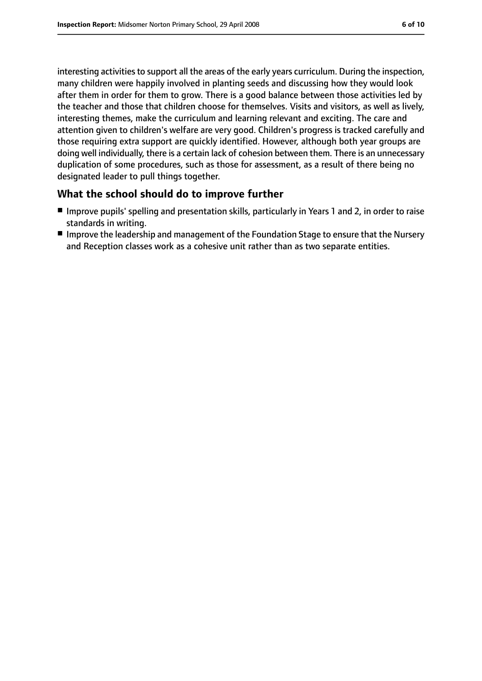interesting activities to support all the areas of the early years curriculum. During the inspection, many children were happily involved in planting seeds and discussing how they would look after them in order for them to grow. There is a good balance between those activities led by the teacher and those that children choose for themselves. Visits and visitors, as well as lively, interesting themes, make the curriculum and learning relevant and exciting. The care and attention given to children's welfare are very good. Children's progress is tracked carefully and those requiring extra support are quickly identified. However, although both year groups are doing well individually, there is a certain lack of cohesion between them. There is an unnecessary duplication of some procedures, such as those for assessment, as a result of there being no designated leader to pull things together.

## **What the school should do to improve further**

- Improve pupils' spelling and presentation skills, particularly in Years 1 and 2, in order to raise standards in writing.
- Improve the leadership and management of the Foundation Stage to ensure that the Nursery and Reception classes work as a cohesive unit rather than as two separate entities.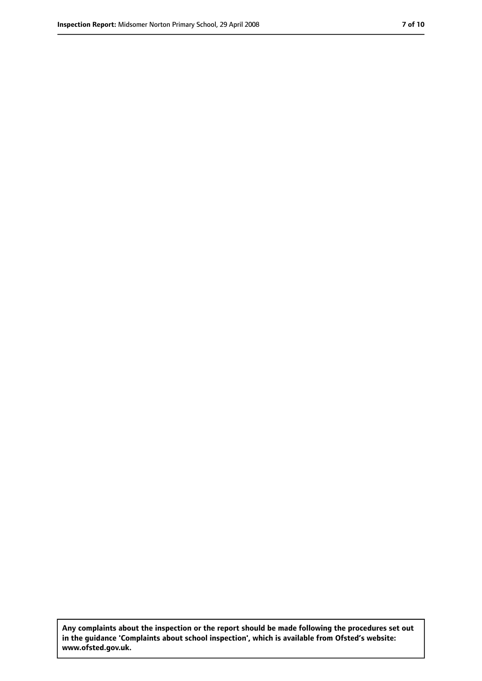**Any complaints about the inspection or the report should be made following the procedures set out in the guidance 'Complaints about school inspection', which is available from Ofsted's website: www.ofsted.gov.uk.**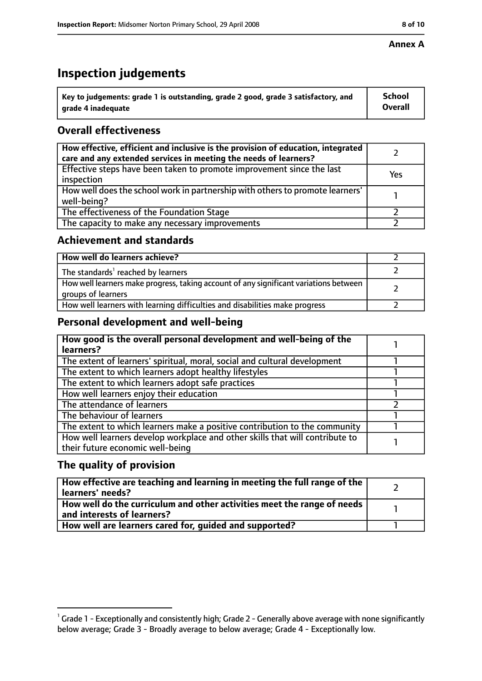#### **Annex A**

# **Inspection judgements**

| $^{\backprime}$ Key to judgements: grade 1 is outstanding, grade 2 good, grade 3 satisfactory, and | <b>School</b>  |
|----------------------------------------------------------------------------------------------------|----------------|
| arade 4 inadequate                                                                                 | <b>Overall</b> |

## **Overall effectiveness**

| How effective, efficient and inclusive is the provision of education, integrated<br>care and any extended services in meeting the needs of learners? |     |
|------------------------------------------------------------------------------------------------------------------------------------------------------|-----|
| Effective steps have been taken to promote improvement since the last<br>inspection                                                                  | Yes |
| How well does the school work in partnership with others to promote learners'<br>well-being?                                                         |     |
| The effectiveness of the Foundation Stage                                                                                                            |     |
| The capacity to make any necessary improvements                                                                                                      |     |

## **Achievement and standards**

| How well do learners achieve?                                                                               |  |
|-------------------------------------------------------------------------------------------------------------|--|
| The standards <sup>1</sup> reached by learners                                                              |  |
| How well learners make progress, taking account of any significant variations between<br>groups of learners |  |
| How well learners with learning difficulties and disabilities make progress                                 |  |

## **Personal development and well-being**

| How good is the overall personal development and well-being of the<br>learners?                                  |  |
|------------------------------------------------------------------------------------------------------------------|--|
| The extent of learners' spiritual, moral, social and cultural development                                        |  |
| The extent to which learners adopt healthy lifestyles                                                            |  |
| The extent to which learners adopt safe practices                                                                |  |
| How well learners enjoy their education                                                                          |  |
| The attendance of learners                                                                                       |  |
| The behaviour of learners                                                                                        |  |
| The extent to which learners make a positive contribution to the community                                       |  |
| How well learners develop workplace and other skills that will contribute to<br>their future economic well-being |  |

## **The quality of provision**

| How effective are teaching and learning in meeting the full range of the<br>learners' needs?          |  |
|-------------------------------------------------------------------------------------------------------|--|
| How well do the curriculum and other activities meet the range of needs<br>and interests of learners? |  |
| How well are learners cared for, quided and supported?                                                |  |

 $^1$  Grade 1 - Exceptionally and consistently high; Grade 2 - Generally above average with none significantly below average; Grade 3 - Broadly average to below average; Grade 4 - Exceptionally low.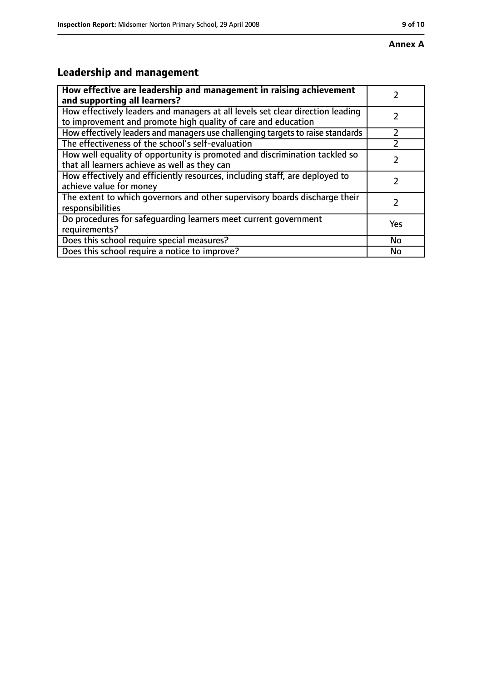# **Leadership and management**

| How effective are leadership and management in raising achievement<br>and supporting all learners?                                              |           |
|-------------------------------------------------------------------------------------------------------------------------------------------------|-----------|
| How effectively leaders and managers at all levels set clear direction leading<br>to improvement and promote high quality of care and education |           |
| How effectively leaders and managers use challenging targets to raise standards                                                                 |           |
| The effectiveness of the school's self-evaluation                                                                                               |           |
| How well equality of opportunity is promoted and discrimination tackled so<br>that all learners achieve as well as they can                     |           |
| How effectively and efficiently resources, including staff, are deployed to<br>achieve value for money                                          | 7         |
| The extent to which governors and other supervisory boards discharge their<br>responsibilities                                                  |           |
| Do procedures for safequarding learners meet current government<br>requirements?                                                                | Yes       |
| Does this school require special measures?                                                                                                      | <b>No</b> |
| Does this school require a notice to improve?                                                                                                   | No        |